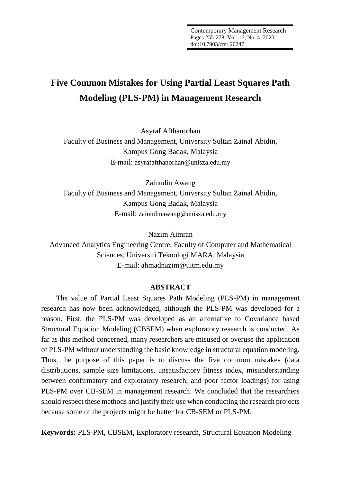# **Five Common Mistakes for Using Partial Least Squares Path Modeling (PLS-PM) in Management Research**

Asyraf Afthanorhan Faculty of Business and Management, University Sultan Zainal Abidin, Kampus Gong Badak, Malaysia E-mail: asyrafafthanorhan@unisza.edu.my

Zainudin Awang Faculty of Business and Management, University Sultan Zainal Abidin, Kampus Gong Badak, Malaysia E-mail: zainudinawang@unisza.edu.my

Nazim Aimran

Advanced Analytics Engineering Centre, Faculty of Computer and Mathematical Sciences, Universiti Teknologi MARA, Malaysia E-mail: ahmadnazim@uitm.edu.my

## **ABSTRACT**

The value of Partial Least Squares Path Modeling (PLS-PM) in management research has now been acknowledged, although the PLS-PM was developed for a reason. First, the PLS-PM was developed as an alternative to Covariance based Structural Equation Modeling (CBSEM) when exploratory research is conducted. As far as this method concerned, many researchers are misused or overuse the application of PLS-PM without understanding the basic knowledge in structural equation modeling. Thus, the purpose of this paper is to discuss the five common mistakes (data distributions, sample size limitations, unsatisfactory fitness index, misunderstanding between confirmatory and exploratory research, and poor factor loadings) for using PLS-PM over CB-SEM in management research. We concluded that the researchers should respect these methods and justify their use when conducting the research projects because some of the projects might be better for CB-SEM or PLS-PM.

**Keywords:** PLS-PM, CBSEM, Exploratory research, Structural Equation Modeling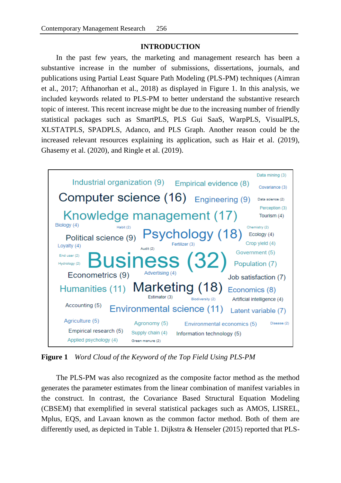## **INTRODUCTION**

In the past few years, the marketing and management research has been a substantive increase in the number of submissions, dissertations, journals, and publications using Partial Least Square Path Modeling (PLS-PM) techniques (Aimran et al., 2017; Afthanorhan et al., 2018) as displayed in Figure 1. In this analysis, we included keywords related to PLS-PM to better understand the substantive research topic of interest. This recent increase might be due to the increasing number of friendly statistical packages such as SmartPLS, PLS Gui SaaS, WarpPLS, VisualPLS, XLSTATPLS, SPADPLS, Adanco, and PLS Graph. Another reason could be the increased relevant resources explaining its application, such as Hair et al. (2019), Ghasemy et al. (2020), and Ringle et al. (2019).



**Figure 1** *Word Cloud of the Keyword of the Top Field Using PLS-PM*

The PLS-PM was also recognized as the composite factor method as the method generates the parameter estimates from the linear combination of manifest variables in the construct. In contrast, the Covariance Based Structural Equation Modeling (CBSEM) that exemplified in several statistical packages such as AMOS, LISREL, Mplus, EQS, and Lavaan known as the common factor method. Both of them are differently used, as depicted in Table 1. Dijkstra & Henseler (2015) reported that PLS-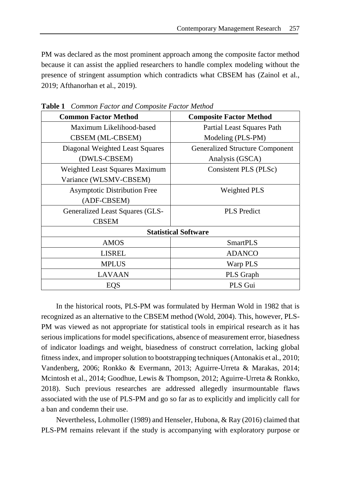PM was declared as the most prominent approach among the composite factor method because it can assist the applied researchers to handle complex modeling without the presence of stringent assumption which contradicts what CBSEM has (Zainol et al., 2019; Afthanorhan et al., 2019).

| <b>Common Factor Method</b>            | <b>Composite Factor Method</b>         |  |  |
|----------------------------------------|----------------------------------------|--|--|
| Maximum Likelihood-based               | <b>Partial Least Squares Path</b>      |  |  |
| CBSEM (ML-CBSEM)                       | Modeling (PLS-PM)                      |  |  |
| Diagonal Weighted Least Squares        | <b>Generalized Structure Component</b> |  |  |
| (DWLS-CBSEM)                           | Analysis (GSCA)                        |  |  |
| <b>Weighted Least Squares Maximum</b>  | Consistent PLS (PLSc)                  |  |  |
| Variance (WLSMV-CBSEM)                 |                                        |  |  |
| <b>Asymptotic Distribution Free</b>    | <b>Weighted PLS</b>                    |  |  |
| (ADF-CBSEM)                            |                                        |  |  |
| <b>Generalized Least Squares (GLS-</b> | <b>PLS</b> Predict                     |  |  |
| <b>CBSEM</b>                           |                                        |  |  |
| <b>Statistical Software</b>            |                                        |  |  |
| <b>AMOS</b>                            | <b>SmartPLS</b>                        |  |  |
| LISREL                                 | <b>ADANCO</b>                          |  |  |
| <b>MPLUS</b>                           | Warp PLS                               |  |  |
| <b>LAVAAN</b>                          | PLS Graph                              |  |  |
| <b>EQS</b>                             | PLS Gui                                |  |  |

**Table 1** *Common Factor and Composite Factor Method*

In the historical roots, PLS-PM was formulated by Herman Wold in 1982 that is recognized as an alternative to the CBSEM method (Wold, 2004). This, however, PLS-PM was viewed as not appropriate for statistical tools in empirical research as it has serious implications for model specifications, absence of measurement error, biasedness of indicator loadings and weight, biasedness of construct correlation, lacking global fitness index, and improper solution to bootstrapping techniques (Antonakis et al., 2010; Vandenberg, 2006; Ronkko & Evermann, 2013; Aguirre-Urreta & Marakas, 2014; Mcintosh et al., 2014; Goodhue, Lewis & Thompson, 2012; Aguirre-Urreta & Ronkko, 2018). Such previous researches are addressed allegedly insurmountable flaws associated with the use of PLS-PM and go so far as to explicitly and implicitly call for a ban and condemn their use.

Nevertheless, Lohmoller (1989) and Henseler, Hubona, & Ray (2016) claimed that PLS-PM remains relevant if the study is accompanying with exploratory purpose or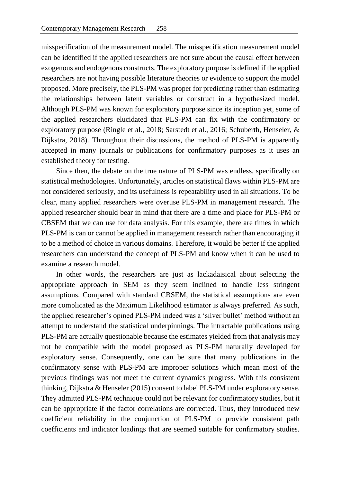misspecification of the measurement model. The misspecification measurement model can be identified if the applied researchers are not sure about the causal effect between exogenous and endogenous constructs. The exploratory purpose is defined if the applied researchers are not having possible literature theories or evidence to support the model proposed. More precisely, the PLS-PM was proper for predicting rather than estimating the relationships between latent variables or construct in a hypothesized model. Although PLS-PM was known for exploratory purpose since its inception yet, some of the applied researchers elucidated that PLS-PM can fix with the confirmatory or exploratory purpose (Ringle et al., 2018; Sarstedt et al., 2016; Schuberth, Henseler, & Dijkstra, 2018). Throughout their discussions, the method of PLS-PM is apparently accepted in many journals or publications for confirmatory purposes as it uses an established theory for testing.

Since then, the debate on the true nature of PLS-PM was endless, specifically on statistical methodologies. Unfortunately, articles on statistical flaws within PLS-PM are not considered seriously, and its usefulness is repeatability used in all situations. To be clear, many applied researchers were overuse PLS-PM in management research. The applied researcher should bear in mind that there are a time and place for PLS-PM or CBSEM that we can use for data analysis. For this example, there are times in which PLS-PM is can or cannot be applied in management research rather than encouraging it to be a method of choice in various domains. Therefore, it would be better if the applied researchers can understand the concept of PLS-PM and know when it can be used to examine a research model.

In other words, the researchers are just as lackadaisical about selecting the appropriate approach in SEM as they seem inclined to handle less stringent assumptions. Compared with standard CBSEM, the statistical assumptions are even more complicated as the Maximum Likelihood estimator is always preferred. As such, the applied researcher's opined PLS-PM indeed was a 'silver bullet' method without an attempt to understand the statistical underpinnings. The intractable publications using PLS-PM are actually questionable because the estimates yielded from that analysis may not be compatible with the model proposed as PLS-PM naturally developed for exploratory sense. Consequently, one can be sure that many publications in the confirmatory sense with PLS-PM are improper solutions which mean most of the previous findings was not meet the current dynamics progress. With this consistent thinking, Dijkstra & Henseler (2015) consent to label PLS-PM under exploratory sense. They admitted PLS-PM technique could not be relevant for confirmatory studies, but it can be appropriate if the factor correlations are corrected. Thus, they introduced new coefficient reliability in the conjunction of PLS-PM to provide consistent path coefficients and indicator loadings that are seemed suitable for confirmatory studies.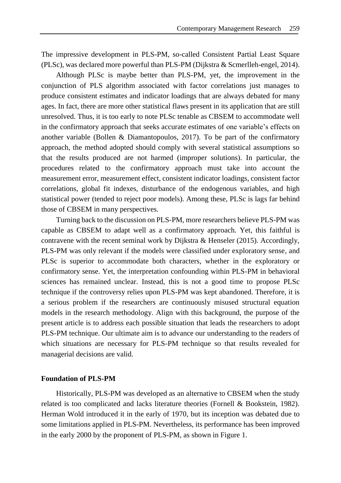The impressive development in PLS-PM, so-called Consistent Partial Least Square (PLSc), was declared more powerful than PLS-PM (Dijkstra & Scmerlleh-engel, 2014).

Although PLSc is maybe better than PLS-PM, yet, the improvement in the conjunction of PLS algorithm associated with factor correlations just manages to produce consistent estimates and indicator loadings that are always debated for many ages. In fact, there are more other statistical flaws present in its application that are still unresolved. Thus, it is too early to note PLSc tenable as CBSEM to accommodate well in the confirmatory approach that seeks accurate estimates of one variable's effects on another variable (Bollen & Diamantopoulos, 2017). To be part of the confirmatory approach, the method adopted should comply with several statistical assumptions so that the results produced are not harmed (improper solutions). In particular, the procedures related to the confirmatory approach must take into account the measurement error, measurement effect, consistent indicator loadings, consistent factor correlations, global fit indexes, disturbance of the endogenous variables, and high statistical power (tended to reject poor models). Among these, PLSc is lags far behind those of CBSEM in many perspectives.

Turning back to the discussion on PLS-PM, more researchers believe PLS-PM was capable as CBSEM to adapt well as a confirmatory approach. Yet, this faithful is contravene with the recent seminal work by Dijkstra & Henseler (2015). Accordingly, PLS-PM was only relevant if the models were classified under exploratory sense, and PLSc is superior to accommodate both characters, whether in the exploratory or confirmatory sense. Yet, the interpretation confounding within PLS-PM in behavioral sciences has remained unclear. Instead, this is not a good time to propose PLSc technique if the controversy relies upon PLS-PM was kept abandoned. Therefore, it is a serious problem if the researchers are continuously misused structural equation models in the research methodology. Align with this background, the purpose of the present article is to address each possible situation that leads the researchers to adopt PLS-PM technique. Our ultimate aim is to advance our understanding to the readers of which situations are necessary for PLS-PM technique so that results revealed for managerial decisions are valid.

#### **Foundation of PLS-PM**

Historically, PLS-PM was developed as an alternative to CBSEM when the study related is too complicated and lacks literature theories (Fornell & Bookstein, 1982). Herman Wold introduced it in the early of 1970, but its inception was debated due to some limitations applied in PLS-PM. Nevertheless, its performance has been improved in the early 2000 by the proponent of PLS-PM, as shown in Figure 1.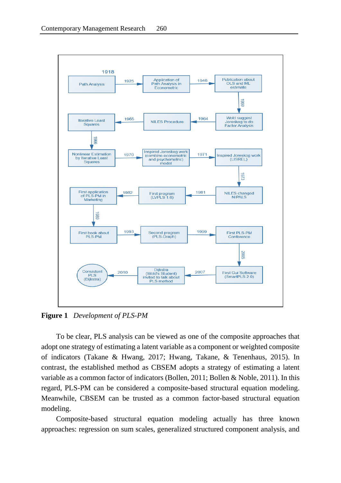

**Figure 1** *Development of PLS-PM*

To be clear, PLS analysis can be viewed as one of the composite approaches that adopt one strategy of estimating a latent variable as a component or weighted composite of indicators (Takane & Hwang, 2017; Hwang, Takane, & Tenenhaus, 2015). In contrast, the established method as CBSEM adopts a strategy of estimating a latent variable as a common factor of indicators (Bollen, 2011; Bollen & Noble, 2011). In this regard, PLS-PM can be considered a composite-based structural equation modeling. Meanwhile, CBSEM can be trusted as a common factor-based structural equation modeling.

Composite-based structural equation modeling actually has three known approaches: regression on sum scales, generalized structured component analysis, and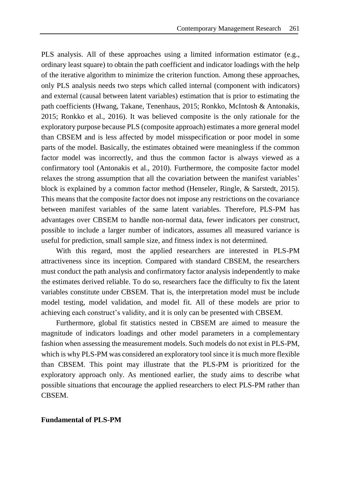PLS analysis. All of these approaches using a limited information estimator (e.g., ordinary least square) to obtain the path coefficient and indicator loadings with the help of the iterative algorithm to minimize the criterion function. Among these approaches, only PLS analysis needs two steps which called internal (component with indicators) and external (causal between latent variables) estimation that is prior to estimating the path coefficients (Hwang, Takane, Tenenhaus, 2015; Ronkko, McIntosh & Antonakis, 2015; Ronkko et al., 2016). It was believed composite is the only rationale for the exploratory purpose because PLS (composite approach) estimates a more general model than CBSEM and is less affected by model misspecification or poor model in some parts of the model. Basically, the estimates obtained were meaningless if the common factor model was incorrectly, and thus the common factor is always viewed as a confirmatory tool (Antonakis et al., 2010). Furthermore, the composite factor model relaxes the strong assumption that all the covariation between the manifest variables' block is explained by a common factor method (Henseler, Ringle, & Sarstedt, 2015). This means that the composite factor does not impose any restrictions on the covariance between manifest variables of the same latent variables. Therefore, PLS-PM has advantages over CBSEM to handle non-normal data, fewer indicators per construct, possible to include a larger number of indicators, assumes all measured variance is useful for prediction, small sample size, and fitness index is not determined.

With this regard, most the applied researchers are interested in PLS-PM attractiveness since its inception. Compared with standard CBSEM, the researchers must conduct the path analysis and confirmatory factor analysis independently to make the estimates derived reliable. To do so, researchers face the difficulty to fix the latent variables constitute under CBSEM. That is, the interpretation model must be include model testing, model validation, and model fit. All of these models are prior to achieving each construct's validity, and it is only can be presented with CBSEM.

Furthermore, global fit statistics nested in CBSEM are aimed to measure the magnitude of indicators loadings and other model parameters in a complementary fashion when assessing the measurement models. Such models do not exist in PLS-PM, which is why PLS-PM was considered an exploratory tool since it is much more flexible than CBSEM. This point may illustrate that the PLS-PM is prioritized for the exploratory approach only. As mentioned earlier, the study aims to describe what possible situations that encourage the applied researchers to elect PLS-PM rather than CBSEM.

## **Fundamental of PLS-PM**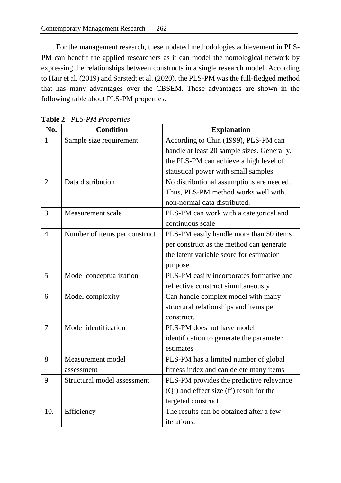For the management research, these updated methodologies achievement in PLS-PM can benefit the applied researchers as it can model the nomological network by expressing the relationships between constructs in a single research model. According to Hair et al. (2019) and Sarstedt et al. (2020), the PLS-PM was the full-fledged method that has many advantages over the CBSEM. These advantages are shown in the following table about PLS-PM properties.

| No.              | <b>Condition</b>              | <b>Explanation</b>                           |  |  |
|------------------|-------------------------------|----------------------------------------------|--|--|
| 1.               | Sample size requirement       | According to Chin (1999), PLS-PM can         |  |  |
|                  |                               | handle at least 20 sample sizes. Generally,  |  |  |
|                  |                               | the PLS-PM can achieve a high level of       |  |  |
|                  |                               | statistical power with small samples         |  |  |
| 2.               | Data distribution             | No distributional assumptions are needed.    |  |  |
|                  |                               | Thus, PLS-PM method works well with          |  |  |
|                  |                               | non-normal data distributed.                 |  |  |
| 3.               | Measurement scale             | PLS-PM can work with a categorical and       |  |  |
|                  |                               | continuous scale                             |  |  |
| $\overline{4}$ . | Number of items per construct | PLS-PM easily handle more than 50 items      |  |  |
|                  |                               | per construct as the method can generate     |  |  |
|                  |                               | the latent variable score for estimation     |  |  |
|                  |                               | purpose.                                     |  |  |
| 5.               | Model conceptualization       | PLS-PM easily incorporates formative and     |  |  |
|                  |                               | reflective construct simultaneously          |  |  |
| 6.               | Model complexity              | Can handle complex model with many           |  |  |
|                  |                               | structural relationships and items per       |  |  |
|                  |                               | construct.                                   |  |  |
| 7.               | Model identification          | PLS-PM does not have model                   |  |  |
|                  |                               | identification to generate the parameter     |  |  |
|                  |                               | estimates                                    |  |  |
| 8.               | Measurement model             | PLS-PM has a limited number of global        |  |  |
|                  | assessment                    | fitness index and can delete many items      |  |  |
| 9.               | Structural model assessment   | PLS-PM provides the predictive relevance     |  |  |
|                  |                               | $(Q2)$ and effect size $(f2)$ result for the |  |  |
|                  |                               | targeted construct                           |  |  |
| 10.              | Efficiency                    | The results can be obtained after a few      |  |  |
|                  |                               | iterations.                                  |  |  |

**Table 2** *PLS-PM Properties*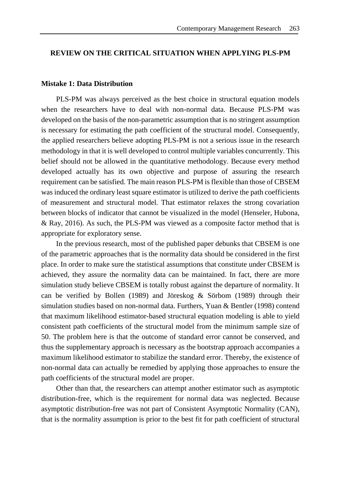# **REVIEW ON THE CRITICAL SITUATION WHEN APPLYING PLS-PM**

#### **Mistake 1: Data Distribution**

PLS-PM was always perceived as the best choice in structural equation models when the researchers have to deal with non-normal data. Because PLS-PM was developed on the basis of the non-parametric assumption that is no stringent assumption is necessary for estimating the path coefficient of the structural model. Consequently, the applied researchers believe adopting PLS-PM is not a serious issue in the research methodology in that it is well developed to control multiple variables concurrently. This belief should not be allowed in the quantitative methodology. Because every method developed actually has its own objective and purpose of assuring the research requirement can be satisfied. The main reason PLS-PM is flexible than those of CBSEM was induced the ordinary least square estimator is utilized to derive the path coefficients of measurement and structural model. That estimator relaxes the strong covariation between blocks of indicator that cannot be visualized in the model (Henseler, Hubona, & Ray, 2016). As such, the PLS-PM was viewed as a composite factor method that is appropriate for exploratory sense.

In the previous research, most of the published paper debunks that CBSEM is one of the parametric approaches that is the normality data should be considered in the first place. In order to make sure the statistical assumptions that constitute under CBSEM is achieved, they assure the normality data can be maintained. In fact, there are more simulation study believe CBSEM is totally robust against the departure of normality. It can be verified by Bollen (1989) and Jöreskog & Sörbom (1989) through their simulation studies based on non-normal data. Furthers, Yuan & Bentler (1998) contend that maximum likelihood estimator-based structural equation modeling is able to yield consistent path coefficients of the structural model from the minimum sample size of 50. The problem here is that the outcome of standard error cannot be conserved, and thus the supplementary approach is necessary as the bootstrap approach accompanies a maximum likelihood estimator to stabilize the standard error. Thereby, the existence of non-normal data can actually be remedied by applying those approaches to ensure the path coefficients of the structural model are proper.

Other than that, the researchers can attempt another estimator such as asymptotic distribution-free, which is the requirement for normal data was neglected. Because asymptotic distribution-free was not part of Consistent Asymptotic Normality (CAN), that is the normality assumption is prior to the best fit for path coefficient of structural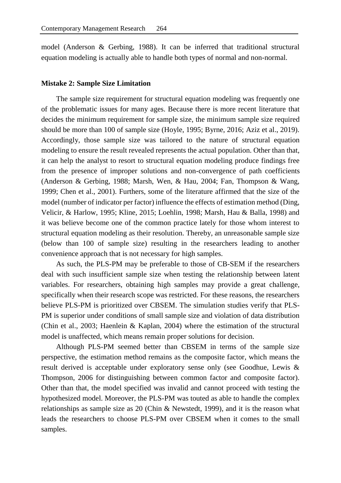model (Anderson & Gerbing, 1988). It can be inferred that traditional structural equation modeling is actually able to handle both types of normal and non-normal.

#### **Mistake 2: Sample Size Limitation**

The sample size requirement for structural equation modeling was frequently one of the problematic issues for many ages. Because there is more recent literature that decides the minimum requirement for sample size, the minimum sample size required should be more than 100 of sample size (Hoyle, 1995; Byrne, 2016; Aziz et al., 2019). Accordingly, those sample size was tailored to the nature of structural equation modeling to ensure the result revealed represents the actual population. Other than that, it can help the analyst to resort to structural equation modeling produce findings free from the presence of improper solutions and non-convergence of path coefficients (Anderson & Gerbing, 1988; Marsh, Wen, & Hau, 2004; Fan, Thompson & Wang, 1999; Chen et al., 2001). Furthers, some of the literature affirmed that the size of the model (number of indicator per factor) influence the effects of estimation method (Ding, Velicir, & Harlow, 1995; Kline, 2015; Loehlin, 1998; Marsh, Hau & Balla, 1998) and it was believe become one of the common practice lately for those whom interest to structural equation modeling as their resolution. Thereby, an unreasonable sample size (below than 100 of sample size) resulting in the researchers leading to another convenience approach that is not necessary for high samples.

As such, the PLS-PM may be preferable to those of CB-SEM if the researchers deal with such insufficient sample size when testing the relationship between latent variables. For researchers, obtaining high samples may provide a great challenge, specifically when their research scope was restricted. For these reasons, the researchers believe PLS-PM is prioritized over CBSEM. The simulation studies verify that PLS-PM is superior under conditions of small sample size and violation of data distribution (Chin et al., 2003; Haenlein & Kaplan, 2004) where the estimation of the structural model is unaffected, which means remain proper solutions for decision.

Although PLS-PM seemed better than CBSEM in terms of the sample size perspective, the estimation method remains as the composite factor, which means the result derived is acceptable under exploratory sense only (see Goodhue, Lewis & Thompson, 2006 for distinguishing between common factor and composite factor). Other than that, the model specified was invalid and cannot proceed with testing the hypothesized model. Moreover, the PLS-PM was touted as able to handle the complex relationships as sample size as 20 (Chin & Newstedt, 1999), and it is the reason what leads the researchers to choose PLS-PM over CBSEM when it comes to the small samples.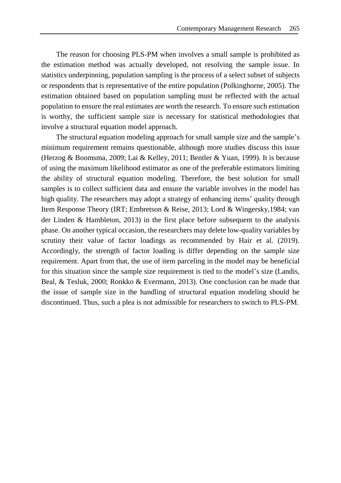The reason for choosing PLS-PM when involves a small sample is prohibited as the estimation method was actually developed, not resolving the sample issue. In statistics underpinning, population sampling is the process of a select subset of subjects or respondents that is representative of the entire population (Polkinghorne, 2005). The estimation obtained based on population sampling must be reflected with the actual population to ensure the real estimates are worth the research. To ensure such estimation is worthy, the sufficient sample size is necessary for statistical methodologies that involve a structural equation model approach.

The structural equation modeling approach for small sample size and the sample's minimum requirement remains questionable, although more studies discuss this issue (Herzog & Boomsma, 2009; Lai & Kelley, 2011; Bentler & Yuan, 1999). It is because of using the maximum likelihood estimator as one of the preferable estimators limiting the ability of structural equation modeling. Therefore, the best solution for small samples is to collect sufficient data and ensure the variable involves in the model has high quality. The researchers may adopt a strategy of enhancing items' quality through Item Response Theory (IRT; Embretson & Reise, 2013; Lord & Wingersky,1984; van der Linden & Hambleton, 2013) in the first place before subsequent to the analysis phase. On another typical occasion, the researchers may delete low-quality variables by scrutiny their value of factor loadings as recommended by Hair et al. (2019). Accordingly, the strength of factor loading is differ depending on the sample size requirement. Apart from that, the use of item parceling in the model may be beneficial for this situation since the sample size requirement is tied to the model's size (Landis, Beal, & Tesluk, 2000; Ronkko & Evermann, 2013). One conclusion can be made that the issue of sample size in the handling of structural equation modeling should be discontinued. Thus, such a plea is not admissible for researchers to switch to PLS-PM.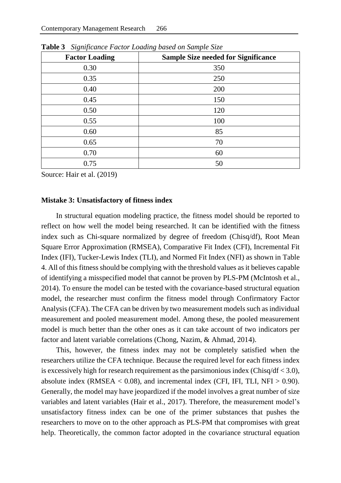| $\mathbf{\circ}$<br>$\overline{v}$<br><b>Factor Loading</b> | $\mathbf \sigma$<br>x.<br><b>Sample Size needed for Significance</b> |
|-------------------------------------------------------------|----------------------------------------------------------------------|
| 0.30                                                        | 350                                                                  |
| 0.35                                                        | 250                                                                  |
| 0.40                                                        | 200                                                                  |
| 0.45                                                        | 150                                                                  |
| 0.50                                                        | 120                                                                  |
| 0.55                                                        | 100                                                                  |
| 0.60                                                        | 85                                                                   |
| 0.65                                                        | 70                                                                   |
| 0.70                                                        | 60                                                                   |
| 0.75                                                        | 50                                                                   |

**Table 3** *Significance Factor Loading based on Sample Size*

Source: Hair et al. (2019)

#### **Mistake 3: Unsatisfactory of fitness index**

In structural equation modeling practice, the fitness model should be reported to reflect on how well the model being researched. It can be identified with the fitness index such as Chi-square normalized by degree of freedom (Chisq/df), Root Mean Square Error Approximation (RMSEA), Comparative Fit Index (CFI), Incremental Fit Index (IFI), Tucker-Lewis Index (TLI), and Normed Fit Index (NFI) as shown in Table 4. All of this fitness should be complying with the threshold values as it believes capable of identifying a misspecified model that cannot be proven by PLS-PM (McIntosh et al., 2014). To ensure the model can be tested with the covariance-based structural equation model, the researcher must confirm the fitness model through Confirmatory Factor Analysis (CFA). The CFA can be driven by two measurement models such as individual measurement and pooled measurement model. Among these, the pooled measurement model is much better than the other ones as it can take account of two indicators per factor and latent variable correlations (Chong, Nazim, & Ahmad, 2014).

This, however, the fitness index may not be completely satisfied when the researchers utilize the CFA technique. Because the required level for each fitness index is excessively high for research requirement as the parsimonious index (Chisq/df  $<$  3.0), absolute index (RMSEA  $< 0.08$ ), and incremental index (CFI, IFI, TLI, NFI  $> 0.90$ ). Generally, the model may have jeopardized if the model involves a great number of size variables and latent variables (Hair et al., 2017). Therefore, the measurement model's unsatisfactory fitness index can be one of the primer substances that pushes the researchers to move on to the other approach as PLS-PM that compromises with great help. Theoretically, the common factor adopted in the covariance structural equation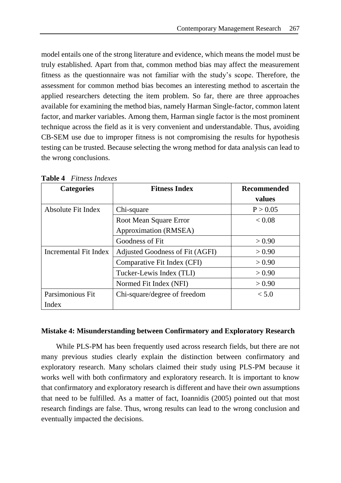model entails one of the strong literature and evidence, which means the model must be truly established. Apart from that, common method bias may affect the measurement fitness as the questionnaire was not familiar with the study's scope. Therefore, the assessment for common method bias becomes an interesting method to ascertain the applied researchers detecting the item problem. So far, there are three approaches available for examining the method bias, namely Harman Single-factor, common latent factor, and marker variables. Among them, Harman single factor is the most prominent technique across the field as it is very convenient and understandable. Thus, avoiding CB-SEM use due to improper fitness is not compromising the results for hypothesis testing can be trusted. Because selecting the wrong method for data analysis can lead to the wrong conclusions.

| <b>Categories</b>            | <b>Fitness Index</b>            | <b>Recommended</b> |
|------------------------------|---------------------------------|--------------------|
|                              |                                 | values             |
| Absolute Fit Index           | Chi-square                      |                    |
|                              | Root Mean Square Error          | < 0.08             |
|                              | Approximation (RMSEA)           |                    |
|                              | Goodness of Fit                 | > 0.90             |
| <b>Incremental Fit Index</b> | Adjusted Goodness of Fit (AGFI) |                    |
|                              | Comparative Fit Index (CFI)     | > 0.90             |
|                              | Tucker-Lewis Index (TLI)        | > 0.90             |
|                              | Normed Fit Index (NFI)          | > 0.90             |
| Parsimonious Fit             | Chi-square/degree of freedom    | < 5.0              |
| Index                        |                                 |                    |

**Table 4** *Fitness Indexes*

# **Mistake 4: Misunderstanding between Confirmatory and Exploratory Research**

While PLS-PM has been frequently used across research fields, but there are not many previous studies clearly explain the distinction between confirmatory and exploratory research. Many scholars claimed their study using PLS-PM because it works well with both confirmatory and exploratory research. It is important to know that confirmatory and exploratory research is different and have their own assumptions that need to be fulfilled. As a matter of fact, Ioannidis (2005) pointed out that most research findings are false. Thus, wrong results can lead to the wrong conclusion and eventually impacted the decisions.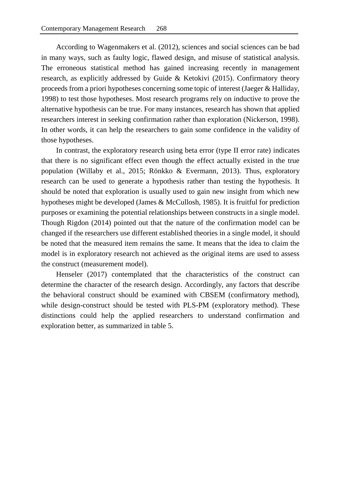According to Wagenmakers et al. (2012), sciences and social sciences can be bad in many ways, such as faulty logic, flawed design, and misuse of statistical analysis. The erroneous statistical method has gained increasing recently in management research, as explicitly addressed by Guide & Ketokivi (2015). Confirmatory theory proceeds from a priori hypotheses concerning some topic of interest (Jaeger & Halliday, 1998) to test those hypotheses. Most research programs rely on inductive to prove the alternative hypothesis can be true. For many instances, research has shown that applied researchers interest in seeking confirmation rather than exploration (Nickerson, 1998). In other words, it can help the researchers to gain some confidence in the validity of those hypotheses.

In contrast, the exploratory research using beta error (type II error rate) indicates that there is no significant effect even though the effect actually existed in the true population (Willaby et al., 2015; Rönkko & Evermann, 2013). Thus, exploratory research can be used to generate a hypothesis rather than testing the hypothesis. It should be noted that exploration is usually used to gain new insight from which new hypotheses might be developed (James & McCullosh, 1985). It is fruitful for prediction purposes or examining the potential relationships between constructs in a single model. Though Rigdon (2014) pointed out that the nature of the confirmation model can be changed if the researchers use different established theories in a single model, it should be noted that the measured item remains the same. It means that the idea to claim the model is in exploratory research not achieved as the original items are used to assess the construct (measurement model).

Henseler (2017) contemplated that the characteristics of the construct can determine the character of the research design. Accordingly, any factors that describe the behavioral construct should be examined with CBSEM (confirmatory method), while design-construct should be tested with PLS-PM (exploratory method). These distinctions could help the applied researchers to understand confirmation and exploration better, as summarized in table 5.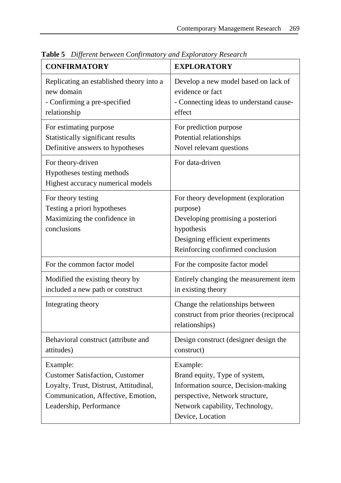| <b>CONFIRMATORY</b>                                                                                                                                           | <b>EXPLORATORY</b>                                                                                                                                                         |
|---------------------------------------------------------------------------------------------------------------------------------------------------------------|----------------------------------------------------------------------------------------------------------------------------------------------------------------------------|
| Replicating an established theory into a<br>new domain<br>- Confirming a pre-specified<br>relationship                                                        | Develop a new model based on lack of<br>evidence or fact<br>- Connecting ideas to understand cause-<br>effect                                                              |
| For estimating purpose<br>Statistically significant results<br>Definitive answers to hypotheses                                                               | For prediction purpose<br>Potential relationships<br>Novel relevant questions                                                                                              |
| For theory-driven<br>Hypotheses testing methods<br>Highest accuracy numerical models                                                                          | For data-driven                                                                                                                                                            |
| For theory testing<br>Testing a priori hypotheses<br>Maximizing the confidence in<br>conclusions                                                              | For theory development (exploration)<br>purpose)<br>Developing promising a posteriori<br>hypothesis<br>Designing efficient experiments<br>Reinforcing confirmed conclusion |
| For the common factor model                                                                                                                                   | For the composite factor model                                                                                                                                             |
| Modified the existing theory by<br>included a new path or construct                                                                                           | Entirely changing the measurement item<br>in existing theory                                                                                                               |
| Integrating theory                                                                                                                                            | Change the relationships between<br>construct from prior theories (reciprocal<br>relationships)                                                                            |
| Behavioral construct (attribute and<br>attitudes)                                                                                                             | Design construct (designer design the<br>construct)                                                                                                                        |
| Example:<br><b>Customer Satisfaction, Customer</b><br>Loyalty, Trust, Distrust, Attitudinal,<br>Communication, Affective, Emotion,<br>Leadership, Performance | Example:<br>Brand equity, Type of system,<br>Information source, Decision-making<br>perspective, Network structure,<br>Network capability, Technology,<br>Device, Location |

**Table 5** *Different between Confirmatory and Exploratory Research*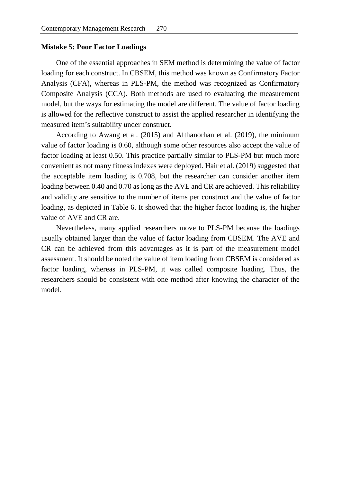### **Mistake 5: Poor Factor Loadings**

One of the essential approaches in SEM method is determining the value of factor loading for each construct. In CBSEM, this method was known as Confirmatory Factor Analysis (CFA), whereas in PLS-PM, the method was recognized as Confirmatory Composite Analysis (CCA). Both methods are used to evaluating the measurement model, but the ways for estimating the model are different. The value of factor loading is allowed for the reflective construct to assist the applied researcher in identifying the measured item's suitability under construct.

According to Awang et al. (2015) and Afthanorhan et al. (2019), the minimum value of factor loading is 0.60, although some other resources also accept the value of factor loading at least 0.50. This practice partially similar to PLS-PM but much more convenient as not many fitness indexes were deployed. Hair et al. (2019) suggested that the acceptable item loading is 0.708, but the researcher can consider another item loading between 0.40 and 0.70 as long as the AVE and CR are achieved. This reliability and validity are sensitive to the number of items per construct and the value of factor loading, as depicted in Table 6. It showed that the higher factor loading is, the higher value of AVE and CR are.

Nevertheless, many applied researchers move to PLS-PM because the loadings usually obtained larger than the value of factor loading from CBSEM. The AVE and CR can be achieved from this advantages as it is part of the measurement model assessment. It should be noted the value of item loading from CBSEM is considered as factor loading, whereas in PLS-PM, it was called composite loading. Thus, the researchers should be consistent with one method after knowing the character of the model.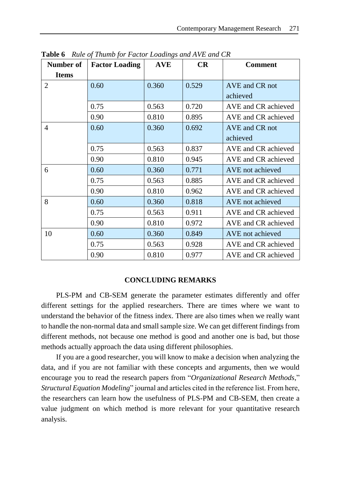| Number of      | <i>Rate of Frame for I actor Logarity's and III</i> Letter CIV<br><b>Factor Loading</b> | <b>AVE</b> | CR    | <b>Comment</b>      |
|----------------|-----------------------------------------------------------------------------------------|------------|-------|---------------------|
| <b>Items</b>   |                                                                                         |            |       |                     |
| $\overline{2}$ | 0.60                                                                                    | 0.360      | 0.529 | AVE and CR not      |
|                |                                                                                         |            |       | achieved            |
|                | 0.75                                                                                    | 0.563      | 0.720 | AVE and CR achieved |
|                | 0.90                                                                                    | 0.810      | 0.895 | AVE and CR achieved |
| $\overline{4}$ | 0.60                                                                                    | 0.360      | 0.692 | AVE and CR not      |
|                |                                                                                         |            |       | achieved            |
|                | 0.75                                                                                    | 0.563      | 0.837 | AVE and CR achieved |
|                | 0.90                                                                                    | 0.810      | 0.945 | AVE and CR achieved |
| 6              | 0.60                                                                                    | 0.360      | 0.771 | AVE not achieved    |
|                | 0.75                                                                                    | 0.563      | 0.885 | AVE and CR achieved |
|                | 0.90                                                                                    | 0.810      | 0.962 | AVE and CR achieved |
| 8              | 0.60                                                                                    | 0.360      | 0.818 | AVE not achieved    |
|                | 0.75                                                                                    | 0.563      | 0.911 | AVE and CR achieved |
|                | 0.90                                                                                    | 0.810      | 0.972 | AVE and CR achieved |
| 10             | 0.60                                                                                    | 0.360      | 0.849 | AVE not achieved    |
|                | 0.75                                                                                    | 0.563      | 0.928 | AVE and CR achieved |
|                | 0.90                                                                                    | 0.810      | 0.977 | AVE and CR achieved |

**Table 6** *Rule of Thumb for Factor Loadings and AVE and CR*

# **CONCLUDING REMARKS**

PLS-PM and CB-SEM generate the parameter estimates differently and offer different settings for the applied researchers. There are times where we want to understand the behavior of the fitness index. There are also times when we really want to handle the non-normal data and small sample size. We can get different findings from different methods, not because one method is good and another one is bad, but those methods actually approach the data using different philosophies.

If you are a good researcher, you will know to make a decision when analyzing the data, and if you are not familiar with these concepts and arguments, then we would encourage you to read the research papers from "*Organizational Research Methods*," *Structural Equation Modeling*" journal and articles cited in the reference list. From here, the researchers can learn how the usefulness of PLS-PM and CB-SEM, then create a value judgment on which method is more relevant for your quantitative research analysis.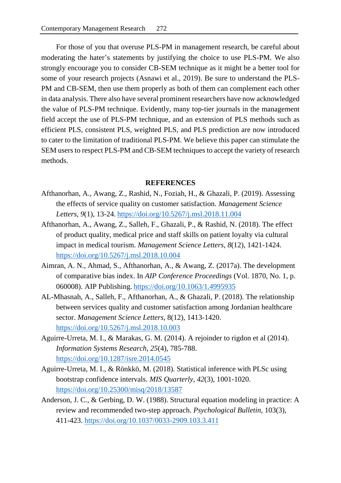For those of you that overuse PLS-PM in management research, be careful about moderating the hater's statements by justifying the choice to use PLS-PM. We also strongly encourage you to consider CB-SEM technique as it might be a better tool for some of your research projects (Asnawi et al., 2019). Be sure to understand the PLS-PM and CB-SEM, then use them properly as both of them can complement each other in data analysis. There also have several prominent researchers have now acknowledged the value of PLS-PM technique. Evidently, many top-tier journals in the management field accept the use of PLS-PM technique, and an extension of PLS methods such as efficient PLS, consistent PLS, weighted PLS, and PLS prediction are now introduced to cater to the limitation of traditional PLS-PM. We believe this paper can stimulate the SEM users to respect PLS-PM and CB-SEM techniques to accept the variety of research methods.

## **REFERENCES**

- Afthanorhan, A., Awang, Z., Rashid, N., Foziah, H., & Ghazali, P. (2019). Assessing the effects of service quality on customer satisfaction. *Management Science Letters*, *9*(1), 13-24. <https://doi.org/10.5267/j.msl.2018.11.004>
- Afthanorhan, A., Awang, Z., Salleh, F., Ghazali, P., & Rashid, N. (2018). The effect of product quality, medical price and staff skills on patient loyalty via cultural impact in medical tourism. *Management Science Letters*, *8*(12), 1421-1424. <https://doi.org/10.5267/j.msl.2018.10.004>
- Aimran, A. N., Ahmad, S., Afthanorhan, A., & Awang, Z. (2017a). The development of comparative bias index. In *AIP Conference Proceedings* (Vol. 1870, No. 1, p. 060008). AIP Publishing. <https://doi.org/10.1063/1.4995935>
- AL-Mhasnah, A., Salleh, F., Afthanorhan, A., & Ghazali, P. (2018). The relationship between services quality and customer satisfaction among Jordanian healthcare sector. *Management Science Letters*, 8(12), 1413-1420. <https://doi.org/10.5267/j.msl.2018.10.003>
- Aguirre-Urreta, M. I., & Marakas, G. M. (2014). A rejoinder to rigdon et al (2014). *Information Systems Research, 25*(4), 785-788. <https://doi.org/10.1287/isre.2014.0545>
- Aguirre-Urreta, M. I., & Rönkkö, M. (2018). Statistical inference with PLSc using bootstrap confidence intervals. *MIS Quarterly, 42*(3), 1001-1020. <https://doi.org/10.25300/misq/2018/13587>
- Anderson, J. C., & Gerbing, D. W. (1988). Structural equation modeling in practice: A review and recommended two-step approach. *Psychological Bulletin*, 103(3), 411-423. <https://doi.org/10.1037/0033-2909.103.3.411>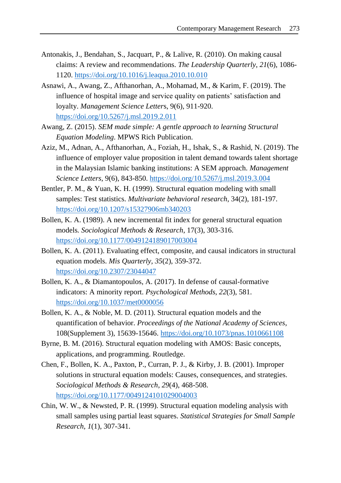- Antonakis, J., Bendahan, S., Jacquart, P., & Lalive, R. (2010). On making causal claims: A review and recommendations. *The Leadership Quarterly*, *21*(6), 1086- 1120. <https://doi.org/10.1016/j.leaqua.2010.10.010>
- Asnawi, A., Awang, Z., Afthanorhan, A., Mohamad, M., & Karim, F. (2019). The influence of hospital image and service quality on patients' satisfaction and loyalty. *Management Science Letter*s, 9(6), 911-920. <https://doi.org/10.5267/j.msl.2019.2.011>
- Awang, Z. (2015). *SEM made simple: A gentle approach to learning Structural Equation Modeling*. MPWS Rich Publication.
- Aziz, M., Adnan, A., Afthanorhan, A., Foziah, H., Ishak, S., & Rashid, N. (2019). The influence of employer value proposition in talent demand towards talent shortage in the Malaysian Islamic banking institutions: A SEM approach. *Management Science Letters*, 9(6), 843-850. <https://doi.org/10.5267/j.msl.2019.3.004>
- Bentler, P. M., & Yuan, K. H. (1999). Structural equation modeling with small samples: Test statistics. *Multivariate behavioral research*, 34(2), 181-197. <https://doi.org/10.1207/s15327906mb340203>
- Bollen, K. A. (1989). A new incremental fit index for general structural equation models*. Sociological Methods & Research*, 17(3), 303-316. <https://doi.org/10.1177/0049124189017003004>
- Bollen, K. A. (2011). Evaluating effect, composite, and causal indicators in structural equation models. *Mis Quarterly, 35*(2), 359-372. <https://doi.org/10.2307/23044047>
- Bollen, K. A., & Diamantopoulos, A. (2017). In defense of causal-formative indicators: A minority report. *Psychological Methods*, *22*(3), 581. <https://doi.org/10.1037/met0000056>
- Bollen, K. A., & Noble, M. D. (2011). Structural equation models and the quantification of behavior. *Proceedings of the National Academy of Sciences*, 108(Supplement 3), 15639-15646. <https://doi.org/10.1073/pnas.1010661108>
- Byrne, B. M. (2016). Structural equation modeling with AMOS: Basic concepts, applications, and programming. Routledge.
- Chen, F., Bollen, K. A., Paxton, P., Curran, P. J., & Kirby, J. B. (2001). Improper solutions in structural equation models: Causes, consequences, and strategies. *Sociological Methods & Research*, *29*(4), 468-508. <https://doi.org/10.1177/0049124101029004003>
- Chin, W. W., & Newsted, P. R. (1999). Structural equation modeling analysis with small samples using partial least squares. *Statistical Strategies for Small Sample Research, 1*(1), 307-341.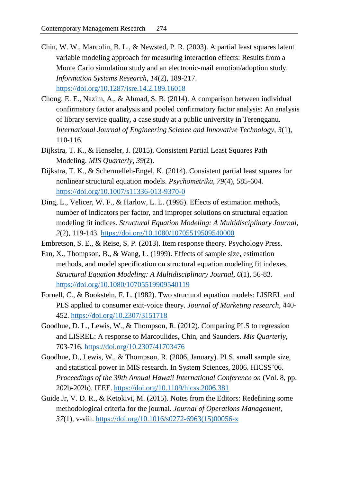- Chin, W. W., Marcolin, B. L., & Newsted, P. R. (2003). A partial least squares latent variable modeling approach for measuring interaction effects: Results from a Monte Carlo simulation study and an electronic-mail emotion/adoption study. *Information Systems Research*, *14*(2), 189-217. <https://doi.org/10.1287/isre.14.2.189.16018>
- Chong, E. E., Nazim, A., & Ahmad, S. B. (2014). A comparison between individual confirmatory factor analysis and pooled confirmatory factor analysis: An analysis of library service quality, a case study at a public university in Terengganu. *International Journal of Engineering Science and Innovative Technology, 3*(1), 110-116.
- Dijkstra, T. K., & Henseler, J. (2015). Consistent Partial Least Squares Path Modeling. *MIS Quarterly*, *39*(2).
- Dijkstra, T. K., & Schermelleh-Engel, K. (2014). Consistent partial least squares for nonlinear structural equation models. *Psychometrika*, *79*(4), 585-604. <https://doi.org/10.1007/s11336-013-9370-0>
- Ding, L., Velicer, W. F., & Harlow, L. L. (1995). Effects of estimation methods, number of indicators per factor, and improper solutions on structural equation modeling fit indices. *Structural Equation Modeling: A Multidisciplinary Journal*, *2*(2), 119-143. <https://doi.org/10.1080/10705519509540000>
- Embretson, S. E., & Reise, S. P. (2013). Item response theory. Psychology Press.
- Fan, X., Thompson, B., & Wang, L. (1999). Effects of sample size, estimation methods, and model specification on structural equation modeling fit indexes. *Structural Equation Modeling: A Multidisciplinary Journal*, *6*(1), 56-83. <https://doi.org/10.1080/10705519909540119>
- Fornell, C., & Bookstein, F. L. (1982). Two structural equation models: LISREL and PLS applied to consumer exit-voice theory. *Journal of Marketing research*, 440- 452. <https://doi.org/10.2307/3151718>
- Goodhue, D. L., Lewis, W., & Thompson, R. (2012). Comparing PLS to regression and LISREL: A response to Marcoulides, Chin, and Saunders. *Mis Quarterly*, 703-716. <https://doi.org/10.2307/41703476>
- Goodhue, D., Lewis, W., & Thompson, R. (2006, January). PLS, small sample size, and statistical power in MIS research. In System Sciences, 2006. HICSS'06. *Proceedings of the 39th Annual Hawaii International Conference on* (Vol. 8, pp. 202b-202b). IEEE. <https://doi.org/10.1109/hicss.2006.381>
- Guide Jr, V. D. R., & Ketokivi, M. (2015). Notes from the Editors: Redefining some methodological criteria for the journal. *Journal of Operations Management*, *37*(1), v-viii. [https://doi.org/10.1016/s0272-6963\(15\)00056-x](https://doi.org/10.1016/s0272-6963(15)00056-x)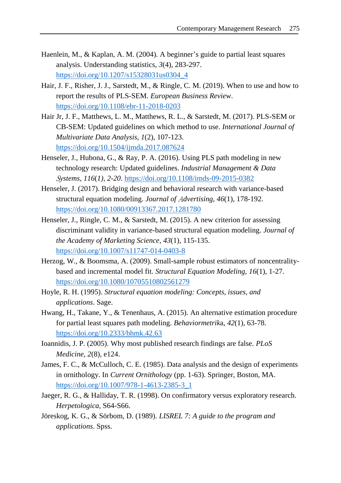- Haenlein, M., & Kaplan, A. M. (2004). A beginner's guide to partial least squares analysis. Understanding statistics, *3*(4), 283-297. [https://doi.org/10.1207/s15328031us0304\\_4](https://doi.org/10.1207/s15328031us0304_4)
- Hair, J. F., Risher, J. J., Sarstedt, M., & Ringle, C. M. (2019). When to use and how to report the results of PLS-SEM. *European Business Review*. <https://doi.org/10.1108/ebr-11-2018-0203>
- Hair Jr, J. F., Matthews, L. M., Matthews, R. L., & Sarstedt, M. (2017). PLS-SEM or CB-SEM: Updated guidelines on which method to use. *International Journal of Multivariate Data Analysis*, *1*(2), 107-123. <https://doi.org/10.1504/ijmda.2017.087624>
- Henseler, J., Hubona, G., & Ray, P. A. (2016). Using PLS path modeling in new technology research: Updated guidelines. *Industrial Management & Data*  S*ystems*, *116*(*1), 2-20*. <https://doi.org/10.1108/imds-09-2015-0382>
- Henseler, J. (2017). Bridging design and behavioral research with variance-based structural equation modeling. *Journal of* A*dvertising*, *46*(1), 178-192. <https://doi.org/10.1080/00913367.2017.1281780>
- Henseler, J., Ringle, C. M., & Sarstedt, M. (2015). A new criterion for assessing discriminant validity in variance-based structural equation modeling. *Journal of the Academy of Marketing Science, 43*(1), 115-135. <https://doi.org/10.1007/s11747-014-0403-8>
- Herzog, W., & Boomsma, A. (2009). Small-sample robust estimators of noncentralitybased and incremental model fit. *Structural Equation Modeling*, *16*(1), 1-27. <https://doi.org/10.1080/10705510802561279>
- Hoyle, R. H. (1995). *Structural equation modeling: Concepts, issues, and applications*. Sage.
- Hwang, H., Takane, Y., & Tenenhaus, A. (2015). An alternative estimation procedure for partial least squares path modeling. *Behaviormetrik*a, *42*(1), 63-78. <https://doi.org/10.2333/bhmk.42.63>
- Ioannidis, J. P. (2005). Why most published research findings are false. *PLoS Medicine*, *2*(8), e124.
- James, F. C., & McCulloch, C. E. (1985). Data analysis and the design of experiments in ornithology. In *Current Ornithology* (pp. 1-63). Springer, Boston, MA. [https://doi.org/10.1007/978-1-4613-2385-3\\_1](https://doi.org/10.1007/978-1-4613-2385-3_1)
- Jaeger, R. G., & Halliday, T. R. (1998). On confirmatory versus exploratory research. *Herpetologica*, S64-S66.
- Jöreskog, K. G., & Sörbom, D. (1989). *LISREL 7: A guide to the program and applications*. Spss.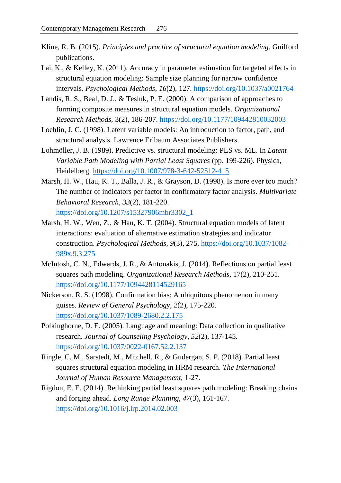- Kline, R. B. (2015). *Principles and practice of structural equation modeling*. Guilford publications.
- Lai, K., & Kelley, K. (2011). Accuracy in parameter estimation for targeted effects in structural equation modeling: Sample size planning for narrow confidence intervals. *Psychological Methods*, *16*(2), 127. <https://doi.org/10.1037/a0021764>
- Landis, R. S., Beal, D. J., & Tesluk, P. E. (2000). A comparison of approaches to forming composite measures in structural equation models. *Organizational Research Methods*, 3(2), 186-207. <https://doi.org/10.1177/109442810032003>
- Loehlin, J. C. (1998). Latent variable models: An introduction to factor, path, and structural analysis. Lawrence Erlbaum Associates Publishers.
- Lohmöller, J. B. (1989). Predictive vs. structural modeling: PLS vs. ML. In *Latent Variable Path Modeling with Partial Least Squares* (pp. 199-226). Physica, Heidelberg. [https://doi.org/10.1007/978-3-642-52512-4\\_5](https://doi.org/10.1007/978-3-642-52512-4_5)
- Marsh, H. W., Hau, K. T., Balla, J. R., & Grayson, D. (1998). Is more ever too much? The number of indicators per factor in confirmatory factor analysis. *Multivariate Behavioral Research*, *33*(2), 181-220. [https://doi.org/10.1207/s15327906mbr3302\\_1](https://doi.org/10.1207/s15327906mbr3302_1)
- Marsh, H. W., Wen, Z., & Hau, K. T. (2004). Structural equation models of latent interactions: evaluation of alternative estimation strategies and indicator construction. *Psychological Methods*, *9*(3), 275. [https://doi.org/10.1037/1082-](https://doi.org/10.1037/1082-989x.9.3.275) [989x.9.3.275](https://doi.org/10.1037/1082-989x.9.3.275)
- McIntosh, C. N., Edwards, J. R., & Antonakis, J. (2014). Reflections on partial least squares path modeling. *Organizational Research Methods*, 17(2), 210-251. <https://doi.org/10.1177/1094428114529165>
- Nickerson, R. S. (1998). Confirmation bias: A ubiquitous phenomenon in many guises. *Review of General Psychology*, *2*(2), 175-220. <https://doi.org/10.1037/1089-2680.2.2.175>
- Polkinghorne, D. E. (2005). Language and meaning: Data collection in qualitative research. *Journal of Counseling Psychology*, *52*(2), 137-145. <https://doi.org/10.1037/0022-0167.52.2.137>
- Ringle, C. M., Sarstedt, M., Mitchell, R., & Gudergan, S. P. (2018). Partial least squares structural equation modeling in HRM research. *The International Journal of Human Resource Management,* 1-27.
- Rigdon, E. E. (2014). Rethinking partial least squares path modeling: Breaking chains and forging ahead. *Long Range Planning*, *47*(3), 161-167. <https://doi.org/10.1016/j.lrp.2014.02.003>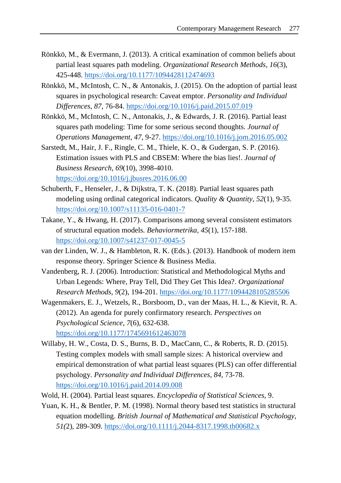- Rönkkö, M., & Evermann, J. (2013). A critical examination of common beliefs about partial least squares path modeling. *Organizational Research Methods*, *16*(3), 425-448. <https://doi.org/10.1177/1094428112474693>
- Rönkkö, M., McIntosh, C. N., & Antonakis, J. (2015). On the adoption of partial least squares in psychological research: Caveat emptor. *Personality and Individual Differences*, *87*, 76-84. <https://doi.org/10.1016/j.paid.2015.07.019>
- Rönkkö, M., McIntosh, C. N., Antonakis, J., & Edwards, J. R. (2016). Partial least squares path modeling: Time for some serious second thoughts. *Journal of Operations Management*, *47*, 9-27. <https://doi.org/10.1016/j.jom.2016.05.002>
- Sarstedt, M., Hair, J. F., Ringle, C. M., Thiele, K. O., & Gudergan, S. P. (2016). Estimation issues with PLS and CBSEM: Where the bias lies!. *Journal of Business Research*, *69*(10), 3998-4010. <https://doi.org/10.1016/j.jbusres.2016.06.00>
- Schuberth, F., Henseler, J., & Dijkstra, T. K. (2018). Partial least squares path modeling using ordinal categorical indicators. *Quality & Quantity*, *52*(1), 9-35. <https://doi.org/10.1007/s11135-016-0401-7>
- Takane, Y., & Hwang, H. (2017). Comparisons among several consistent estimators of structural equation models. *Behaviormetrika*, *45*(1), 157-188. <https://doi.org/10.1007/s41237-017-0045-5>
- van der Linden, W. J., & Hambleton, R. K. (Eds.). (2013). Handbook of modern item response theory. Springer Science & Business Media.
- Vandenberg, R. J. (2006). Introduction: Statistical and Methodological Myths and Urban Legends: Where, Pray Tell, Did They Get This Idea?. *Organizational Research Methods, 9*(2), 194-201. <https://doi.org/10.1177/1094428105285506>
- Wagenmakers, E. J., Wetzels, R., Borsboom, D., van der Maas, H. L., & Kievit, R. A. (2012). An agenda for purely confirmatory research. *Perspectives on Psychological Science*, *7*(6), 632-638.

<https://doi.org/10.1177/1745691612463078>

- Willaby, H. W., Costa, D. S., Burns, B. D., MacCann, C., & Roberts, R. D. (2015). Testing complex models with small sample sizes: A historical overview and empirical demonstration of what partial least squares (PLS) can offer differential psychology. *Personality and Individual Differences*, *84*, 73-78. <https://doi.org/10.1016/j.paid.2014.09.008>
- Wold, H. (2004). Partial least squares. *Encyclopedia of Statistical Sciences*, 9.
- Yuan, K. H., & Bentler, P. M. (1998). Normal theory based test statistics in structural equation modelling. *British Journal of Mathematical and Statistical Psychology*, *51(*2), 289-309. <https://doi.org/10.1111/j.2044-8317.1998.tb00682.x>